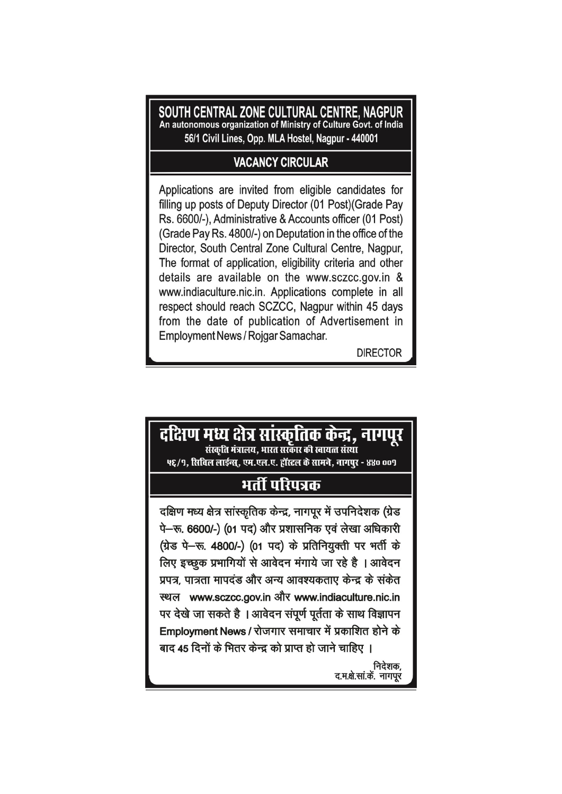SOUTH CENTRAL ZONE CULTURAL CENTRE, NAGPUR An autonomous organization of Ministry of Culture Govt. of India 56/1 Civil Lines, Opp. MLA Hostel, Nagpur - 440001

### **VACANCY CIRCULAR**

Applications are invited from eligible candidates for filling up posts of Deputy Director (01 Post) (Grade Pay Rs. 6600/-), Administrative & Accounts officer (01 Post) (Grade Pay Rs. 4800/-) on Deputation in the office of the Director, South Central Zone Cultural Centre, Nagpur, The format of application, eligibility criteria and other details are available on the www.sczcc.gov.in & www.indiaculture.nic.in. Applications complete in all respect should reach SCZCC, Nagpur within 45 days from the date of publication of Advertisement in Employment News / Rojgar Samachar.

**DIRECTOR** 

# दक्षिण मध्य क्षेत्र सांस्कृतिक केन्द्र, नागपूर संस्कृति मंत्रालय. भारत सरकार की स्वायत्त संस्था ५६/९, सिबिल लाईन्स, एम.एल.ए. हॉस्टल के सामने, नागपर - ४४० ००९ भर्ती परिपत्रक दक्षिण मध्य क्षेत्र सांस्कृतिक केन्द्र, नागपुर में उपनिदेशक (ग्रेड पे-रू. 6600/-) (01 पद) और प्रशासनिक एवं लेखा अधिकारी (ग्रेड पे-रू. 4800/-) (01 पद) के प्रतिनियुक्ती पर भर्ती के लिए इच्छुक प्रभागियों से आवेदन मंगाये जा रहे है । आवेदन प्रपत्र, पात्रता मापदंड और अन्य आवश्यकताए केन्द्र के संकेत स्थल www.sczcc.gov.in और www.indiaculture.nic.in पर देखे जा सकते है । आवेदन संपूर्ण पूर्तता के साथ विज्ञापन Employment News / रोजगार समाचार में प्रकाशित होने के बाद 45 दिनों के भितर केन्द्र को प्राप्त हो जाने चाहिए । निदेशक, द.म.क्षे.सा.कें. नागपूर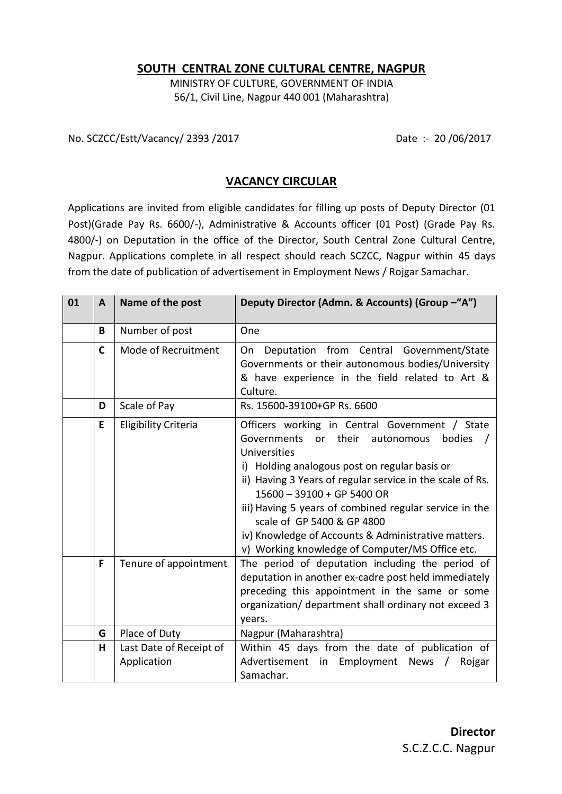#### **SOUTH CENTRAL ZONE CULTURAL CENTRE, NAGPUR**

MINISTRY OF CULTURE, GOVERNMENT OF INDIA 56/1, Civil Line, Nagpur 440 001 (Maharashtra)

No. SCZCC/Estt/Vacancy/ 2393 /2017 Date :- 20 /06/2017

#### **VACANCY CIRCULAR**

Applications are invited from eligible candidates for filling up posts of Deputy Director (01 Post)(Grade Pay Rs. 6600/-), Administrative & Accounts officer (01 Post) (Grade Pay Rs. 4800/-) on Deputation in the office of the Director, South Central Zone Cultural Centre, Nagpur. Applications complete in all respect should reach SCZCC, Nagpur within 45 days from the date of publication of advertisement in Employment News / Rojgar Samachar.

| 01 | $\mathbf{A}$ | Name of the post                       | Deputy Director (Admn. & Accounts) (Group -"A")                                                                                                                                                                                                                                                                                                                                                                                                                    |
|----|--------------|----------------------------------------|--------------------------------------------------------------------------------------------------------------------------------------------------------------------------------------------------------------------------------------------------------------------------------------------------------------------------------------------------------------------------------------------------------------------------------------------------------------------|
|    | B            | Number of post                         | One                                                                                                                                                                                                                                                                                                                                                                                                                                                                |
|    | $\mathsf{C}$ | Mode of Recruitment                    | Deputation from Central Government/State<br>On<br>Governments or their autonomous bodies/University<br>& have experience in the field related to Art &<br>Culture.                                                                                                                                                                                                                                                                                                 |
|    | D            | Scale of Pay                           | Rs. 15600-39100+GP Rs. 6600                                                                                                                                                                                                                                                                                                                                                                                                                                        |
|    | E            | <b>Eligibility Criteria</b>            | Officers working in Central Government / State<br>their<br>Governments<br>or<br>autonomous<br>bodies<br>Universities<br>i) Holding analogous post on regular basis or<br>ii) Having 3 Years of regular service in the scale of Rs.<br>15600 - 39100 + GP 5400 OR<br>iii) Having 5 years of combined regular service in the<br>scale of GP 5400 & GP 4800<br>iv) Knowledge of Accounts & Administrative matters.<br>v) Working knowledge of Computer/MS Office etc. |
|    | F            | Tenure of appointment                  | The period of deputation including the period of<br>deputation in another ex-cadre post held immediately<br>preceding this appointment in the same or some<br>organization/ department shall ordinary not exceed 3<br>years.                                                                                                                                                                                                                                       |
|    | G            | Place of Duty                          | Nagpur (Maharashtra)                                                                                                                                                                                                                                                                                                                                                                                                                                               |
|    | н            | Last Date of Receipt of<br>Application | Within 45 days from the date of publication of<br>Advertisement<br>Employment News<br>in<br>Rojgar<br>$\sqrt{2}$<br>Samachar.                                                                                                                                                                                                                                                                                                                                      |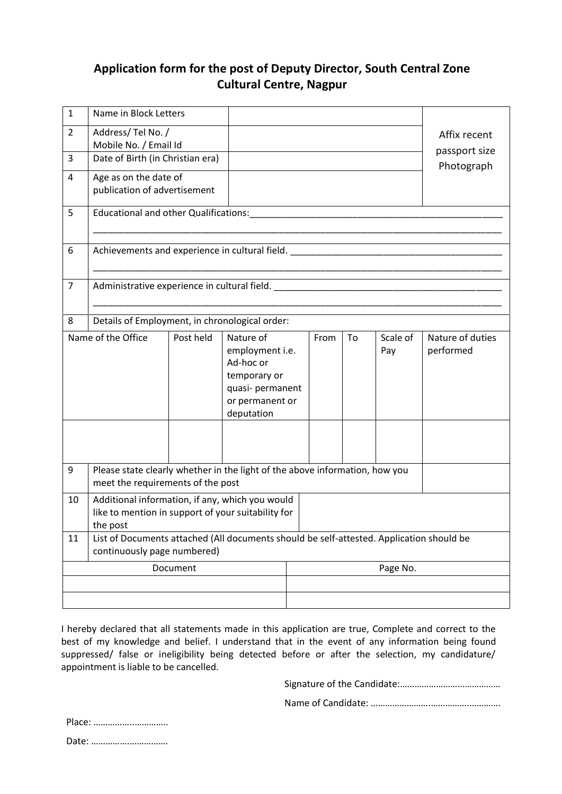## **Application form for the post of Deputy Director, South Central Zone Cultural Centre, Nagpur**

| $\mathbf{1}$     | Name in Block Letters                                                                                                   |                       |                  |  |          |    |               |                  |  |
|------------------|-------------------------------------------------------------------------------------------------------------------------|-----------------------|------------------|--|----------|----|---------------|------------------|--|
| $\overline{2}$   | Address/Tel No. /                                                                                                       |                       |                  |  |          |    | Affix recent  |                  |  |
|                  | Mobile No. / Email Id                                                                                                   |                       |                  |  |          |    | passport size |                  |  |
| $\overline{3}$   | Date of Birth (in Christian era)                                                                                        |                       |                  |  |          |    | Photograph    |                  |  |
| 4                |                                                                                                                         | Age as on the date of |                  |  |          |    |               |                  |  |
|                  | publication of advertisement                                                                                            |                       |                  |  |          |    |               |                  |  |
| 5                | <b>Educational and other Qualifications:</b>                                                                            |                       |                  |  |          |    |               |                  |  |
|                  |                                                                                                                         |                       |                  |  |          |    |               |                  |  |
| 6                | Achievements and experience in cultural field. Achievements and experience in cultural field.                           |                       |                  |  |          |    |               |                  |  |
|                  |                                                                                                                         |                       |                  |  |          |    |               |                  |  |
| $\overline{7}$   | Administrative experience in cultural field.                                                                            |                       |                  |  |          |    |               |                  |  |
|                  |                                                                                                                         |                       |                  |  |          |    |               |                  |  |
| 8                | Details of Employment, in chronological order:                                                                          |                       |                  |  |          |    |               |                  |  |
|                  |                                                                                                                         |                       |                  |  |          |    |               |                  |  |
|                  | Name of the Office                                                                                                      | Post held             | Nature of        |  | From     | To | Scale of      | Nature of duties |  |
|                  |                                                                                                                         |                       | employment i.e.  |  |          |    | Pay           | performed        |  |
|                  |                                                                                                                         |                       | Ad-hoc or        |  |          |    |               |                  |  |
|                  |                                                                                                                         |                       | temporary or     |  |          |    |               |                  |  |
|                  |                                                                                                                         |                       | quasi- permanent |  |          |    |               |                  |  |
|                  |                                                                                                                         |                       | or permanent or  |  |          |    |               |                  |  |
|                  |                                                                                                                         |                       | deputation       |  |          |    |               |                  |  |
|                  |                                                                                                                         |                       |                  |  |          |    |               |                  |  |
|                  |                                                                                                                         |                       |                  |  |          |    |               |                  |  |
| $\boldsymbol{9}$ | Please state clearly whether in the light of the above information, how you                                             |                       |                  |  |          |    |               |                  |  |
|                  | meet the requirements of the post                                                                                       |                       |                  |  |          |    |               |                  |  |
| 10               | Additional information, if any, which you would                                                                         |                       |                  |  |          |    |               |                  |  |
|                  | like to mention in support of your suitability for                                                                      |                       |                  |  |          |    |               |                  |  |
|                  | the post                                                                                                                |                       |                  |  |          |    |               |                  |  |
| 11               | List of Documents attached (All documents should be self-attested. Application should be<br>continuously page numbered) |                       |                  |  |          |    |               |                  |  |
| Document         |                                                                                                                         |                       |                  |  | Page No. |    |               |                  |  |
|                  |                                                                                                                         |                       |                  |  |          |    |               |                  |  |
|                  |                                                                                                                         |                       |                  |  |          |    |               |                  |  |
|                  |                                                                                                                         |                       |                  |  |          |    |               |                  |  |

I hereby declared that all statements made in this application are true, Complete and correct to the best of my knowledge and belief. I understand that in the event of any information being found suppressed/ false or ineligibility being detected before or after the selection, my candidature/ appointment is liable to be cancelled.

Signature of the Candidate:……………………………………

Name of Candidate: …………………….…………….………….

| Place: |  |
|--------|--|
| Date:  |  |